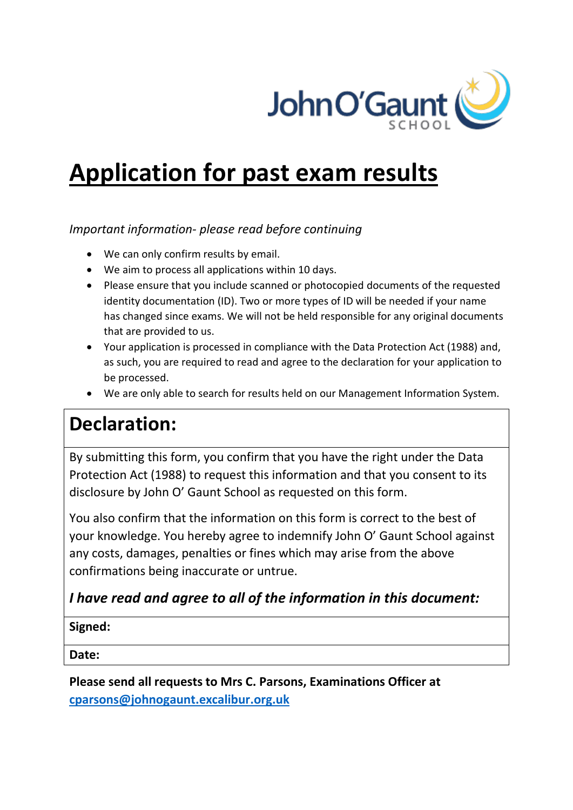

# **Application for past exam results**

## *Important information- please read before continuing*

- We can only confirm results by email.
- We aim to process all applications within 10 days.
- Please ensure that you include scanned or photocopied documents of the requested identity documentation (ID). Two or more types of ID will be needed if your name has changed since exams. We will not be held responsible for any original documents that are provided to us.
- Your application is processed in compliance with the Data Protection Act (1988) and, as such, you are required to read and agree to the declaration for your application to be processed.
- We are only able to search for results held on our Management Information System.

## **Declaration:**

By submitting this form, you confirm that you have the right under the Data Protection Act (1988) to request this information and that you consent to its disclosure by John O' Gaunt School as requested on this form.

You also confirm that the information on this form is correct to the best of your knowledge. You hereby agree to indemnify John O' Gaunt School against any costs, damages, penalties or fines which may arise from the above confirmations being inaccurate or untrue.

## *I have read and agree to all of the information in this document:*

## **Signed:**

**Date:**

**Please send all requests to Mrs C. Parsons, Examinations Officer at [cparsons@johnogaunt.excalibur.org.uk](mailto:cparsons@johnogaunt.excalibur.org.uk)**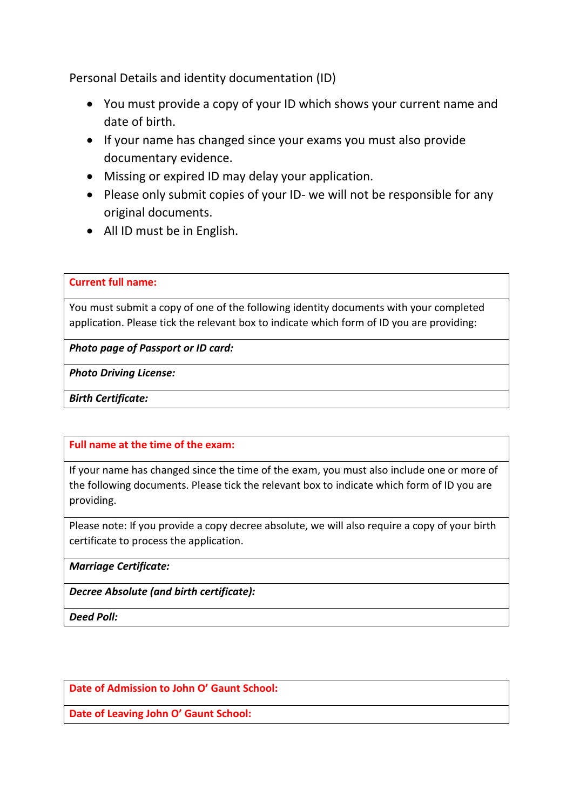Personal Details and identity documentation (ID)

- You must provide a copy of your ID which shows your current name and date of birth.
- If your name has changed since your exams you must also provide documentary evidence.
- Missing or expired ID may delay your application.
- Please only submit copies of your ID- we will not be responsible for any original documents.
- All ID must be in English.

#### **Current full name:**

You must submit a copy of one of the following identity documents with your completed application. Please tick the relevant box to indicate which form of ID you are providing:

*Photo page of Passport or ID card:*

*Photo Driving License:*

*Birth Certificate:* 

**Full name at the time of the exam:** 

If your name has changed since the time of the exam, you must also include one or more of the following documents. Please tick the relevant box to indicate which form of ID you are providing.

Please note: If you provide a copy decree absolute, we will also require a copy of your birth certificate to process the application.

*Marriage Certificate:* 

*Decree Absolute (and birth certificate):*

*Deed Poll:*

**Date of Admission to John O' Gaunt School:**

**Date of Leaving John O' Gaunt School:**